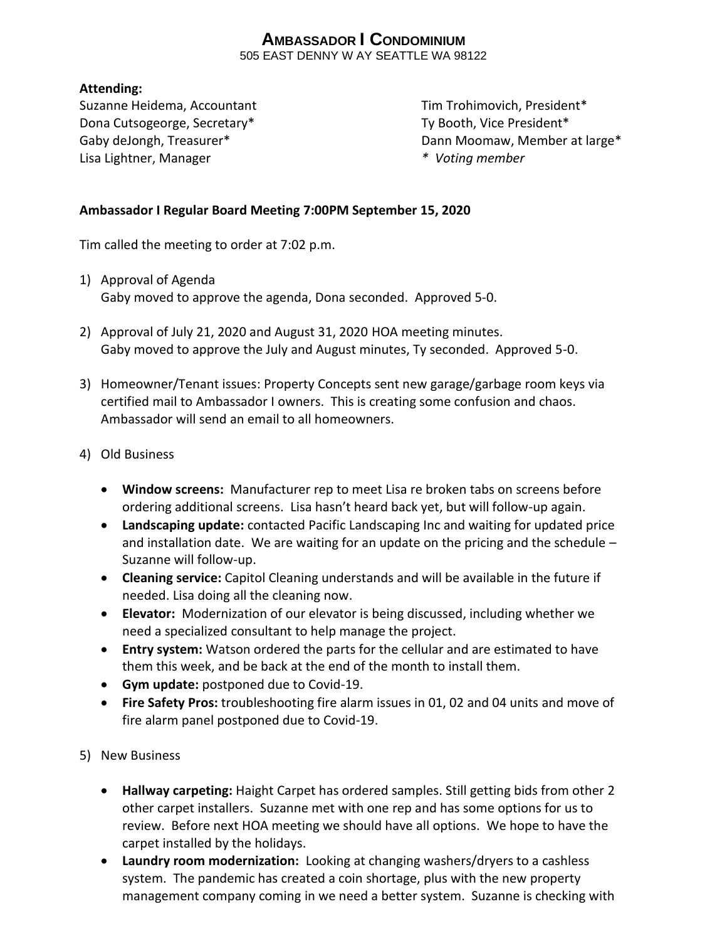# **AMBASSADOR I CONDOMINIUM**

505 EAST DENNY W AY SEATTLE WA 98122

## **Attending:**

Suzanne Heidema, Accountant Tim Trohimovich, President\* Dona Cutsogeorge, Secretary\* Ty Booth, Vice President\* Lisa Lightner, Manager *\* Voting member*

Gaby deJongh, Treasurer\* The Communication of the Dann Moomaw, Member at large in the Dann Moomaw, Member at large in the Communication of the Communication of the Communication of the Communication of the Communication of

# **Ambassador I Regular Board Meeting 7:00PM September 15, 2020**

Tim called the meeting to order at 7:02 p.m.

- 1) Approval of Agenda Gaby moved to approve the agenda, Dona seconded. Approved 5-0.
- 2) Approval of July 21, 2020 and August 31, 2020 HOA meeting minutes. Gaby moved to approve the July and August minutes, Ty seconded. Approved 5-0.
- 3) Homeowner/Tenant issues: Property Concepts sent new garage/garbage room keys via certified mail to Ambassador I owners. This is creating some confusion and chaos. Ambassador will send an email to all homeowners.
- 4) Old Business
	- **Window screens:** Manufacturer rep to meet Lisa re broken tabs on screens before ordering additional screens. Lisa hasn't heard back yet, but will follow-up again.
	- **Landscaping update:** contacted Pacific Landscaping Inc and waiting for updated price and installation date. We are waiting for an update on the pricing and the schedule – Suzanne will follow-up.
	- **Cleaning service:** Capitol Cleaning understands and will be available in the future if needed. Lisa doing all the cleaning now.
	- **Elevator:** Modernization of our elevator is being discussed, including whether we need a specialized consultant to help manage the project.
	- **Entry system:** Watson ordered the parts for the cellular and are estimated to have them this week, and be back at the end of the month to install them.
	- **Gym update:** postponed due to Covid-19.
	- **Fire Safety Pros:** troubleshooting fire alarm issues in 01, 02 and 04 units and move of fire alarm panel postponed due to Covid-19.
- 5) New Business
	- **Hallway carpeting:** Haight Carpet has ordered samples. Still getting bids from other 2 other carpet installers. Suzanne met with one rep and has some options for us to review. Before next HOA meeting we should have all options. We hope to have the carpet installed by the holidays.
	- **Laundry room modernization:** Looking at changing washers/dryers to a cashless system. The pandemic has created a coin shortage, plus with the new property management company coming in we need a better system. Suzanne is checking with